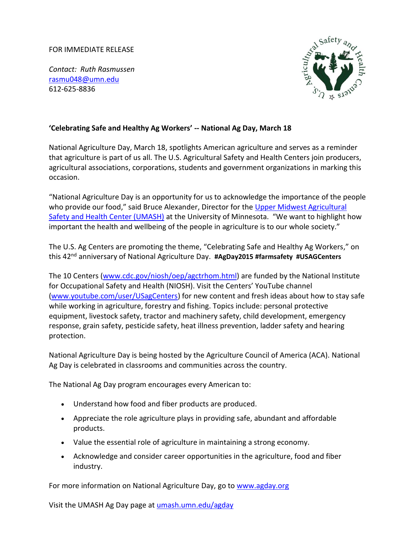## FOR IMMEDIATE RELEASE

*Contact: Ruth Rasmussen*  [rasmu048@umn.edu](mailto:rasmu048@umn.edu) 612-625-8836



## **'Celebrating Safe and Healthy Ag Workers' -- National Ag Day, March 18**

National Agriculture Day, March 18, spotlights American agriculture and serves as a reminder that agriculture is part of us all. The U.S. Agricultural Safety and Health Centers join producers, agricultural associations, corporations, students and government organizations in marking this occasion.

"National Agriculture Day is an opportunity for us to acknowledge the importance of the people who provide our food," said Bruce Alexander, Director for the Upper Midwest Agricultural [Safety and Health Center \(UMASH\)](http://umash.umn.edu/) at the University of Minnesota. "We want to highlight how important the health and wellbeing of the people in agriculture is to our whole society."

The U.S. Ag Centers are promoting the theme, "Celebrating Safe and Healthy Ag Workers," on this 42nd anniversary of National Agriculture Day. **#AgDay2015 #farmsafety #USAGCenters**

The 10 Centers [\(www.cdc.gov/niosh/oep/agctrhom.html\)](http://www.cdc.gov/niosh/oep/agctrhom.html) are funded by the National Institute for Occupational Safety and Health (NIOSH). Visit the Centers' YouTube channel [\(www.youtube.com/user/USagCenters\)](http://www.youtube.com/user/USagCenters) for new content and fresh ideas about how to stay safe while working in agriculture, forestry and fishing. Topics include: personal protective equipment, livestock safety, tractor and machinery safety, child development, emergency response, grain safety, pesticide safety, heat illness prevention, ladder safety and hearing protection.

National Agriculture Day is being hosted by the Agriculture Council of America (ACA). National Ag Day is celebrated in classrooms and communities across the country.

The National Ag Day program encourages every American to:

- Understand how food and fiber products are produced.
- Appreciate the role agriculture plays in providing safe, abundant and affordable products.
- Value the essential role of agriculture in maintaining a strong economy.
- Acknowledge and consider career opportunities in the agriculture, food and fiber industry.

For more information on National Agriculture Day, go to [www.agday.org](http://www.agday.org/) 

Visit the UMASH Ag Day page at umash.umn.edu/agday